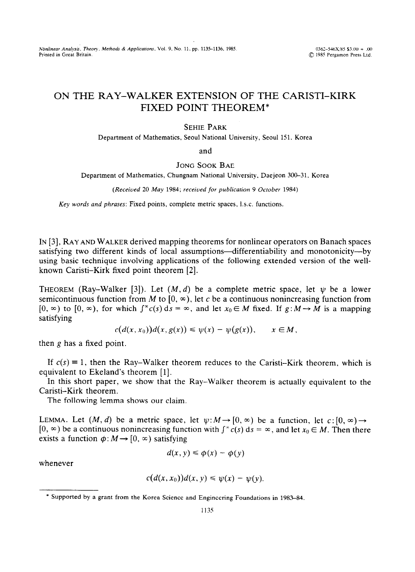*Nonlinear Analysis, Theory. Methods & Applications, Vol. 9, No. 11, pp. 1135–1136, 1985.* **1985** 0362–546X/85 \$3.00 + .00<br>Printed in Great Britain. **COM** 1985 Perzamon Press Ltd.

## **ON THE RAY-WALKER EXTENSION OF THE CARISTI-KIRK FIXED POINT THEOREM\***

## SEHIE PARK

Department of Mathematics, Seoul National University, Seoul 151. Korea

and

## JONG SOOK BAE

Department of Mathematics, Chungnam National University. Daejeon 300-31. Korea

*(Received 20 May 1984: received for publication 9 October 1984)* 

*Key words and phrases:* Fixed points, complete metric spaces, I.s.c. functions.

IN [3], RAY AND WALKER derived mapping theorems for nonlinear operators on Banach spaces satisfying two different kinds of local assumptions-differentiability and monotonicity---by using basic technique involving applications of the following extended version of the wellknown Caristi-Kirk fixed point theorem [2].

**THEOREM** (Ray-Walker [3]). Let  $(M, d)$  be a complete metric space, let  $\psi$  be a lower semicontinuous function from *M* to  $[0, \infty)$ , let c be a continuous nonincreasing function from  $[0, \infty)$  to  $[0, \infty)$ , for which  $\int^x c(s) ds = \infty$ , and let  $x_0 \in M$  fixed. If  $g: M \to M$  is a mapping satisfying

$$
c(d(x,x_0))d(x,g(x))\leq \psi(x)-\psi(g(x)),\qquad x\in M,
$$

then  $g$  has a fixed point.

If  $c(s) \equiv 1$ , then the Ray-Walker theorem reduces to the Caristi-Kirk theorem, which is equivalent to Ekeland's theorem [l].

In this short paper, we show that the Ray-Walker theorem is actually equivalent to the Caristi-Kirk theorem.

The following lemma shows our claim.

LEMMA. Let  $(M, d)$  be a metric space, let  $\psi: M \to [0, \infty)$  be a function, let  $c: [0, \infty) \to$  $[0, \infty)$  be a continuous nonincreasing function with  $\int^{\infty} c(s) ds = \infty$ , and let  $x_0 \in M$ . Then there exists a function  $\phi: M \rightarrow [0, \infty)$  satisfying

$$
d(x, y) \leq \phi(x) - \phi(y)
$$

whenever

$$
c(d(x,x_0))d(x,y)\leq \psi(x)-\psi(y).
$$

<sup>\*</sup> Supported by a grant from the Korea Science and Engineering Foundations in 1983-84